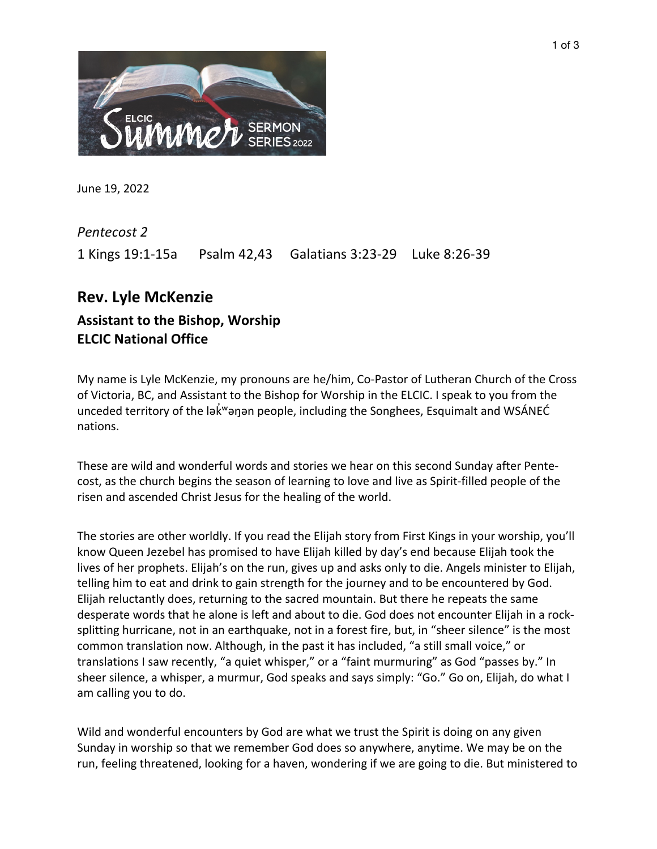

June 19, 2022

*Pentecost 2* 1 Kings 19:1-15a Psalm 42,43 Galatians 3:23-29 Luke 8:26-39

## **Rev. Lyle McKenzie Assistant to the Bishop, Worship**

**ELCIC National Office** 

My name is Lyle McKenzie, my pronouns are he/him, Co-Pastor of Lutheran Church of the Cross of Victoria, BC, and Assistant to the Bishop for Worship in the ELCIC. I speak to you from the unceded territory of the lak "anan people, including the Songhees, Esquimalt and WSANEC nations.

These are wild and wonderful words and stories we hear on this second Sunday after Pentecost, as the church begins the season of learning to love and live as Spirit-filled people of the risen and ascended Christ Jesus for the healing of the world.

The stories are other worldly. If you read the Elijah story from First Kings in your worship, you'll know Queen Jezebel has promised to have Elijah killed by day's end because Elijah took the lives of her prophets. Elijah's on the run, gives up and asks only to die. Angels minister to Elijah, telling him to eat and drink to gain strength for the journey and to be encountered by God. Elijah reluctantly does, returning to the sacred mountain. But there he repeats the same desperate words that he alone is left and about to die. God does not encounter Elijah in a rocksplitting hurricane, not in an earthquake, not in a forest fire, but, in "sheer silence" is the most common translation now. Although, in the past it has included, "a still small voice," or translations I saw recently, "a quiet whisper," or a "faint murmuring" as God "passes by." In sheer silence, a whisper, a murmur, God speaks and says simply: "Go." Go on, Elijah, do what I am calling you to do.

Wild and wonderful encounters by God are what we trust the Spirit is doing on any given Sunday in worship so that we remember God does so anywhere, anytime. We may be on the run, feeling threatened, looking for a haven, wondering if we are going to die. But ministered to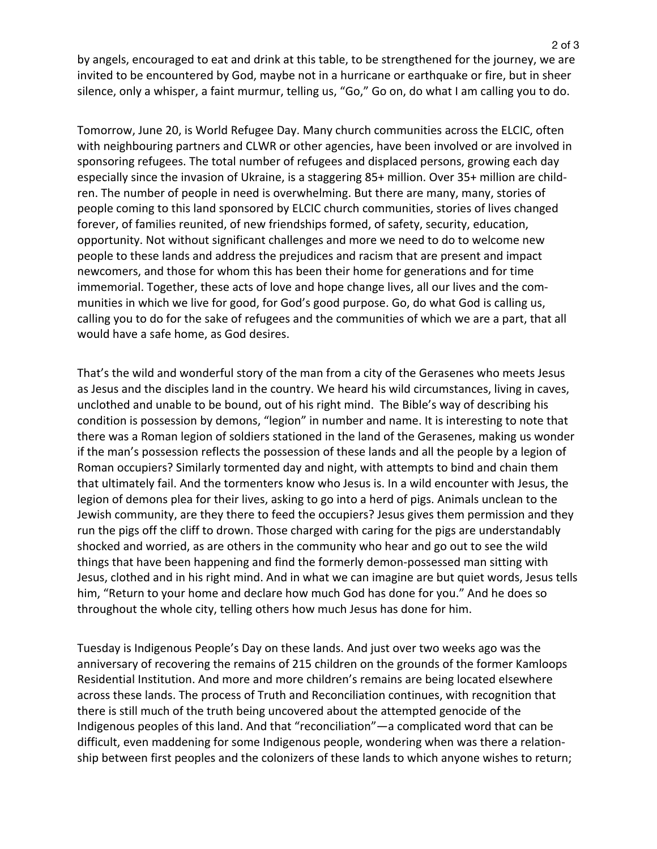by angels, encouraged to eat and drink at this table, to be strengthened for the journey, we are invited to be encountered by God, maybe not in a hurricane or earthquake or fire, but in sheer silence, only a whisper, a faint murmur, telling us, "Go," Go on, do what I am calling you to do.

Tomorrow, June 20, is World Refugee Day. Many church communities across the ELCIC, often with neighbouring partners and CLWR or other agencies, have been involved or are involved in sponsoring refugees. The total number of refugees and displaced persons, growing each day especially since the invasion of Ukraine, is a staggering 85+ million. Over 35+ million are children. The number of people in need is overwhelming. But there are many, many, stories of people coming to this land sponsored by ELCIC church communities, stories of lives changed forever, of families reunited, of new friendships formed, of safety, security, education, opportunity. Not without significant challenges and more we need to do to welcome new people to these lands and address the prejudices and racism that are present and impact newcomers, and those for whom this has been their home for generations and for time immemorial. Together, these acts of love and hope change lives, all our lives and the communities in which we live for good, for God's good purpose. Go, do what God is calling us, calling you to do for the sake of refugees and the communities of which we are a part, that all would have a safe home, as God desires.

That's the wild and wonderful story of the man from a city of the Gerasenes who meets Jesus as Jesus and the disciples land in the country. We heard his wild circumstances, living in caves, unclothed and unable to be bound, out of his right mind. The Bible's way of describing his condition is possession by demons, "legion" in number and name. It is interesting to note that there was a Roman legion of soldiers stationed in the land of the Gerasenes, making us wonder if the man's possession reflects the possession of these lands and all the people by a legion of Roman occupiers? Similarly tormented day and night, with attempts to bind and chain them that ultimately fail. And the tormenters know who Jesus is. In a wild encounter with Jesus, the legion of demons plea for their lives, asking to go into a herd of pigs. Animals unclean to the Jewish community, are they there to feed the occupiers? Jesus gives them permission and they run the pigs off the cliff to drown. Those charged with caring for the pigs are understandably shocked and worried, as are others in the community who hear and go out to see the wild things that have been happening and find the formerly demon-possessed man sitting with Jesus, clothed and in his right mind. And in what we can imagine are but quiet words, Jesus tells him, "Return to your home and declare how much God has done for you." And he does so throughout the whole city, telling others how much Jesus has done for him.

Tuesday is Indigenous People's Day on these lands. And just over two weeks ago was the anniversary of recovering the remains of 215 children on the grounds of the former Kamloops Residential Institution. And more and more children's remains are being located elsewhere across these lands. The process of Truth and Reconciliation continues, with recognition that there is still much of the truth being uncovered about the attempted genocide of the Indigenous peoples of this land. And that "reconciliation"—a complicated word that can be difficult, even maddening for some Indigenous people, wondering when was there a relationship between first peoples and the colonizers of these lands to which anyone wishes to return;